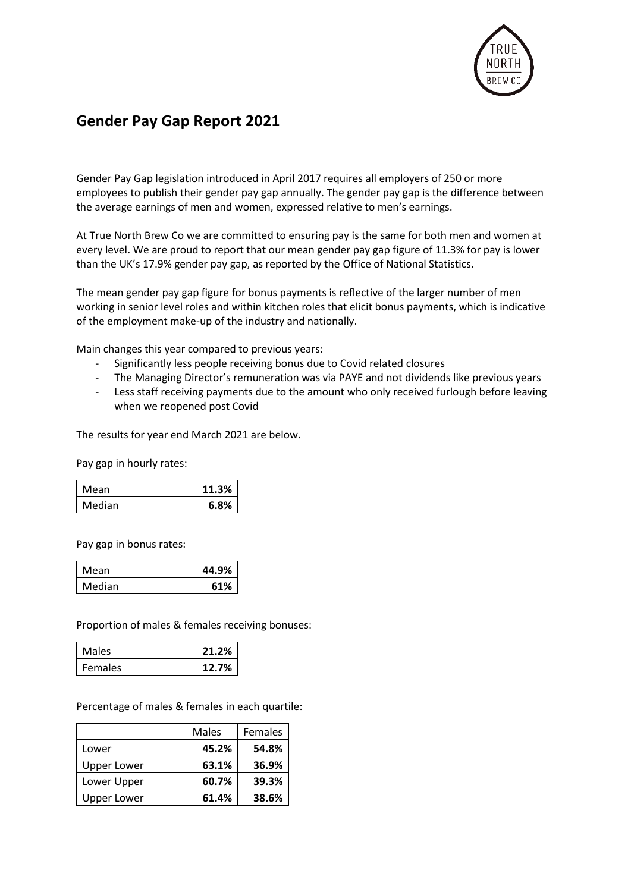

## **Gender Pay Gap Report 2021**

Gender Pay Gap legislation introduced in April 2017 requires all employers of 250 or more employees to publish their gender pay gap annually. The gender pay gap is the difference between the average earnings of men and women, expressed relative to men's earnings.

At True North Brew Co we are committed to ensuring pay is the same for both men and women at every level. We are proud to report that our mean gender pay gap figure of 11.3% for pay is lower than the UK's 17.9% gender pay gap, as reported by the Office of National Statistics.

The mean gender pay gap figure for bonus payments is reflective of the larger number of men working in senior level roles and within kitchen roles that elicit bonus payments, which is indicative of the employment make-up of the industry and nationally.

Main changes this year compared to previous years:

- Significantly less people receiving bonus due to Covid related closures
- The Managing Director's remuneration was via PAYE and not dividends like previous years
- Less staff receiving payments due to the amount who only received furlough before leaving when we reopened post Covid

The results for year end March 2021 are below.

Pay gap in hourly rates:

| Mean   | 11.3% |
|--------|-------|
| Median | 6.8%  |

Pay gap in bonus rates:

| Mean   | 44.9% |
|--------|-------|
| Median | 61%   |

Proportion of males & females receiving bonuses:

| Males   | 21.2% |
|---------|-------|
| Females | 12.7% |

Percentage of males & females in each quartile:

|                    | Males | Females |
|--------------------|-------|---------|
| Lower              | 45.2% | 54.8%   |
| <b>Upper Lower</b> | 63.1% | 36.9%   |
| Lower Upper        | 60.7% | 39.3%   |
| Upper Lower        | 61.4% | 38.6%   |